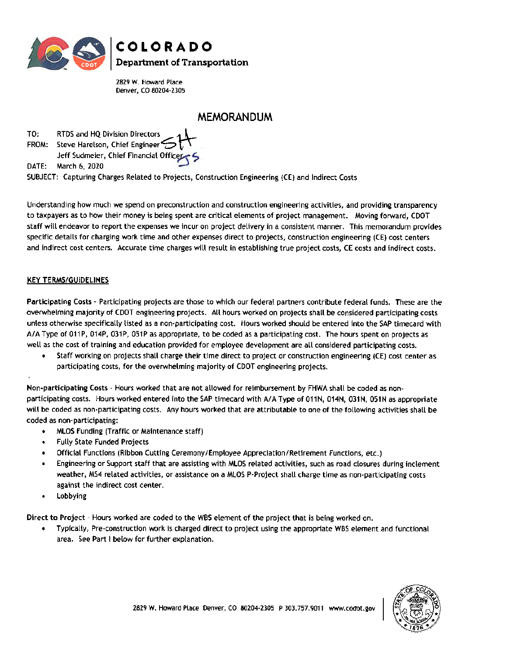

2829 W. Howard Place Denver, CO 80204-2305

# **MEMORANDUM**

TO: FROM: Steve Harelson, Chief Engineer~ **<sup>r</sup>' RTDS and HQ Division Directors Jeff Sudmeier, Chief Financial Office** 

DATE: March 6, 2020

SUBJECT: Capturing Charges Related to Projects, Construction Engineering (CE) and Indirect Costs

Understanding how much we spend on preconstruction and construction engineering activities, and providing transparency to taxpayers as to how their money is being spent are critical elements of project management. Moving forward, CDOT staff will endeavor to report the expenses we incur on project delivery in a consistent manner. This memorandum provides specific details for charging work time and other expenses direct to projects, construction engineering (CE) cost centers and indirect cost centers. Accurate time charges will result in establishing true project costs, CE costs and indirect costs.

# KEY TERMS/GUIDELINES

Participating Costs - Participating projects are those to which our federal partners contribute federal funds. These are the overwhelming majority of CDOT engineering projects. All hours worked on projects shall be considered participating costs unless otherwise specifically listed as a non-participating cost. Hours worked should be entered into the SAP timecard with A/A Type of 011P, 014P, 031P, 051P as appropriate, to be coded as a participating cost. The hours spent on projects as well as the cost of training and education provided for employee development are all considered participating costs.

• Staff working on projects shall charge their time direct to project or construction engineering (CE) cost center as participating costs, for the overwhelming majority of COOT engineering projects.

Non-participating Costs · Hours worked that are not allowed for reimbursement by FHWA shall be coded as nonparticipating costs. Hours worked entered into the SAP timecard with A/A Type of 011N, 014N, 031N, 051N as appropriate will be coded as non-participating costs. Any hours worked that are attributable to one of the following activities shall be coded as non-participating:

- MLOS Funding (Traffic or Maintenance staff)
- Fully State Funded Projects
- Official Functions (Ribbon Cutting Ceremony/Employee Appreciation/Retirement Functions, etc.)
- Engineering or Support staff that are assisting with MLOS related activities, such as road closures during inclement weather, MS4 related activities, or assistance on a MLOS P-Project shall charge time as non-participating costs against the indirect cost center.
- **Lobbying**

Direct to Project - Hours worked are coded to the WBS element of the project that is being worked on.

• Typically, Pre-construction work is charged direct to project using the appropriate WBS element and functional area. See Part I below for further explanation.

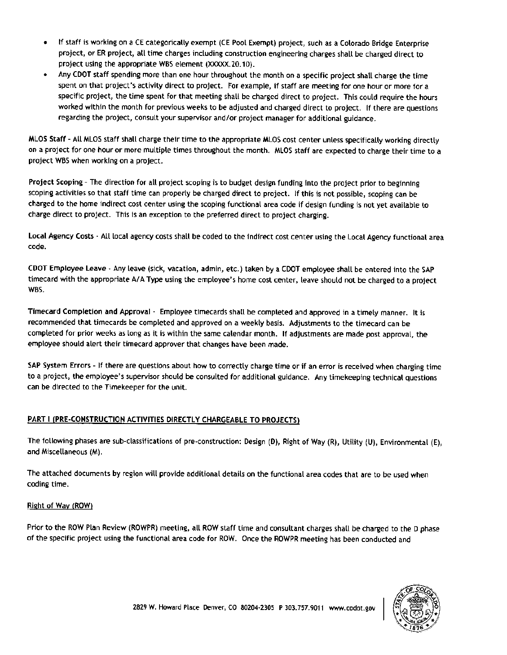- If staff is working on a **CE** categorically exempt (CE Pool Exempt) project, such as a Colorado Bridge Enterprise project, or ER project, all time charges including construction engineering charges shall be charged direct to project using the appropriate WBS element (XXXXX.20.10).
- Any COOT staff spending more than one hour throughout the month on a specific project shall charge the time spent on that project's activity direct to project. For example, if staff are meeting for one hour or more for a specific project, the time spent for that meeting shall be charged direct to project. This could require the hours worked within the month for previous weeks to be adjusted and charged direct to project. If there are questions regarding the project, consult your supervisor and/or project manager for additional guidance.

MLOS **Staff** - All MLOS staff shall charge their time to the appropriate MLOS cost center unless specifically working directly on a project for one hour or more multiple times throughout the month. MLOS staff are expected to charge their time to a project WBS when working on a project.

**Project Scoping** - The direction for alt project scoping is to budget design funding into the project prior to beginning scoping activities so that staff time can properly be charged direct to project. Jf this is not possible, scoping can be charged to the home indirect cost center using the scoping functional area code if design funding is not yet available to charge direct to project. This is an exception to the preferred direct to project charging.

**Local Agency Costs** - All local agency costs shalt be coded to the indirect cost center using the Local Agency functional area code.

COOT **Employee Leave** - Any leave (sick, vacation, admin, etc.) taken by a COOT employee shall be entered into the SAP timecard with the appropriate A/A Type using the employee's home cost center, leave should not be charged to a project WBS.

Timecard Completion and Approval - Employee timecards shall be completed and approved in a timely manner. It is recommended that timecards be completed and approved on a weekly basis. Adjustments to the timecard can be completed for prior weeks as long as it is within the same calendar month. If adjustments are made post approval, the employee should alert their timecard approver that changes have been made.

SAP System Errors - If there are questions about how to correctly charge time or if an error is received when charging time to a project, the employee's supervisor should be consulted for additional guidance. Any timekeeping technical questions can be directed to the Timekeeper for the unit.

# **PART** I **(PRE-CONSTRUCTION ACTIVITIES DIRECTLY CHARGEABLE TO PROJECTS)**

The following phases are sub-classifications of pre-construction: Design (D), Right of Way (R), Utility (U), Environmental (E), and Miscellaneous (M).

The attached documents by region will provide additional details on the functional area codes that are to be used when coding time.

#### Right of Way (ROW)

Prior to the ROW Plan Review (ROWPR) meeting, all ROW staff time and consultant charges shall be charged to the D phase of the specific project using the functional area code for ROW. Once the ROWPR meeting has been conducted and

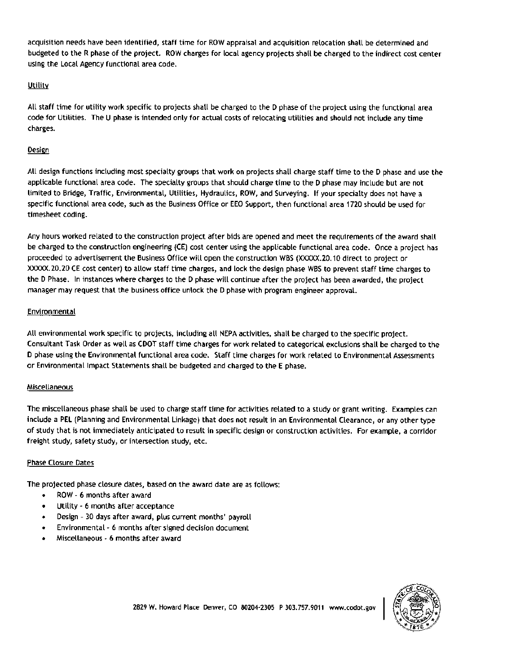acquisition needs have been identified, staff time for ROW appraisal and acquisition relocation shall be determined and budgeted to the R phase of the project. ROW charges for local agency projects shall be charged to the indirect cost center using the Local Agency functional area code.

## Utility

All staff time for utility work specific to projects shall be charged to the D phase of the project using the functional area code for Utilities. The U phase is intended only for actual costs of relocating utilities and should not include any time charges.

## Design

All design functions including most specialty groups that work on projects shall charge staff time to the D phase and use the applicable functional area code. The specialty groups that should charge time to the D phase may include but are not limited to Bridge, Traffic, Environmental, Utilities, Hydraulics, ROW, and Surveying. If your specialty does not have a specific functional area code, such as the Business Office or EEO Support, then functional area 1720 should be used for timesheet coding.

Any hours worked related to the construction project after bids are opened and meet the requirements of the award shall be charged to the construction engineering (CE) cost center using the applicable functional area code. Once a project has proceeded to advertisement the Business Office will open the construction WBS (XXXXX.20.10 direct to project or XXXXX. 20.20 CE cost center) to allow staff time charges, and lock the design phase WBS to prevent staff time charges to the D Phase. In instances where charges to the D phase will continue after the project has been awarded, the project manager may request that the business office unlock the D phase with program engineer approval.

## Environmental

All environmental work specific to projects, including all NEPA activities, shall be charged to the specific project. Consultant Task Order as well as COOT staff time charges for work related to categorical exclusions shall be charged to the D phase using the Environmental functional area code. Staff time charges for work related to Environmental Assessments or Environmental Impact Statements shall be budgeted and charged to the E phase.

# Miscellaneous

The miscellaneous phase shall be used to charge staff time for activities related to a study or grant writing. Examples can include a PEL (Planning and Environmental Linkage) that does not result in an Environmental Clearance, or any other type of study that is not immediately anticipated to result in specific design or construction activities. For example, a corridor freight study, safety study, or intersection study, etc.

# Phase Closure Dates

The projected phase closure dates, based on the award date are as follows:

- ROW 6 months after award
- Utility 6 months after acceptance
- Design 30 days after award, plus current months' payroll
- Environmental 6 months after signed decision document
- Miscellaneous 6 months after award

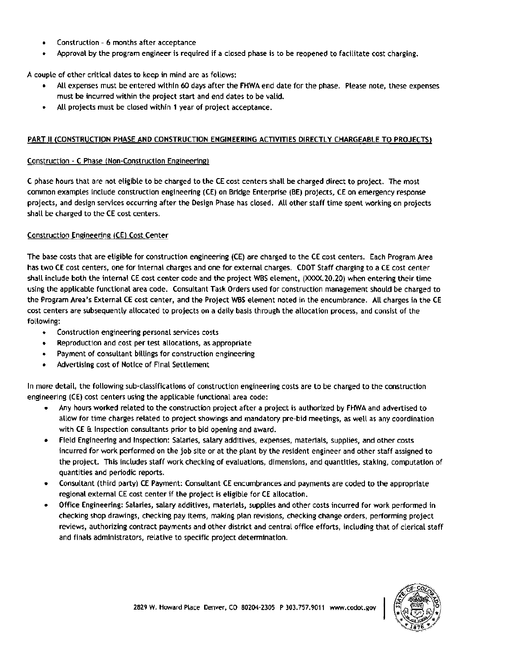- Construction 6 months after acceptance
- Approval by the program engineer is required if a closed phase is to be reopened to facilitate cost charging.

A couple of other critical dates to keep in mind are as follows:

- All expenses must be entered within 60 days after the FHWA end date for the phase. Please note, these expenses must be incurred within the project start and end dates to be valid.
- All projects must be closed within **<sup>1</sup>**year of project acceptance.

#### **PART** II **(CONSTRUCTION PHASE AND CONSTRUCTION ENGINEERING ACTIVITIES DIRECTLY CHARGEABLE TO PROJECTS}**

#### Construction - C Phase (Non-Construction Engineering)

C phase hours that are not eligible to be charged to the CE cost centers shall be charged direct to project. The most common examples include construction engineering (CE) on Bridge Enterprise **(BE)** projects, CE on emergency response projects, and design services occurring after the Design Phase has closed. AU other staff time spent working on projects shall be charged to the CE cost centers.

#### Construction Engineering (CE) Cost Center

The base costs that are eligible for construction engineering (CE) are charged to the CE cost centers. Each Program Area has two CE cost centers, one for internal charges and *one* for external charges. CDOT Staff charging to a CE cost center shall include both the internal CE cost center code and the project WBS element, (XXXX.2O.20) when entering their time using the applicable functional area code. Consultant Task Orders used for construction management should be charged to the Program Area's External CE cost center, and the Project WBS element noted in the encumbrance. All charges in the CE cost centers are subsequently allocated to projects on a daily basis through the allocation process, and consist of the following:

- Construction engineering personal services costs
- Reproduction and cost per test allocations, as appropriate
- Payment of consultant billings for construction engineering
- Advertising cost of Notice of Final Settlement

In more **detail,** the following sub-classifications of construction engineering costs are to be charged to the construction engineering (CE) cost centers using the applicable functional area code:

- Any hours worked related to the construction project after a project is authorized by FHWA and advertised to allow for time charges related to project showings and mandatory pre•bid meetings, as well as any coordination with CE & Inspection consultants prior to bid opening and award.
- Field Engineering and Inspection: Salaries, salary additives, expenses, materials, supplies, and other costs incurred for work performed on the job site or at the plant by the resident engineer and other staff assigned to the project. This includes staff work checking of evaluations, dimensions, and quantities, staking, computation of quantities and periodic reports.
- Consultant (third party) CE Payment: Consultant CE encumbrances and payments are coded to the appropriate regional external CE cost center if the project is eligible for CE allocation.
- Office Engineering: Salaries, salary additives, materials, supplies and other costs incurred for work performed in checking shop drawings, checking pay items, making plan revisions, checking change orders, performing project reviews, authorizing contract payments and other district and central office efforts, including that of clerical staff and finals administrators, relative to specific project determination.